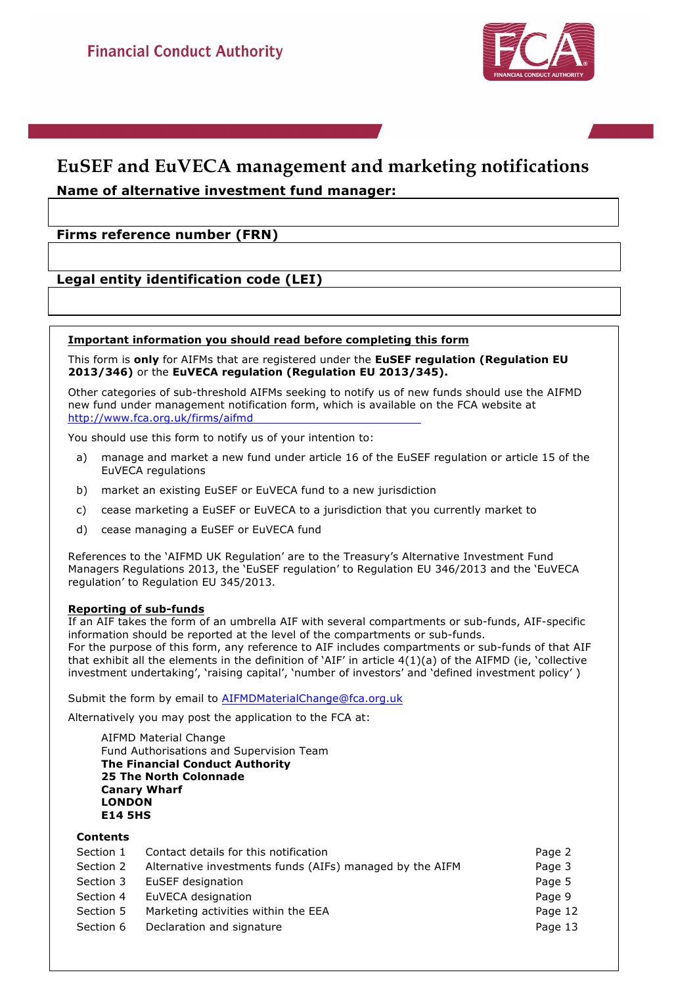

### **EuSEF and EuVECA management and marketing notifications Name of alternative investment fund manager:**

### **Firms reference number (FRN)**

### **Legal entity identification code (LEI)**

### **Important information you should read before completing this form**

This form is **only** for AIFMs that are registered under the **EuSEF regulation (Regulation EU 2013/346)** or the **EuVECA regulation (Regulation EU 2013/345).**

Other categories of sub-threshold AIFMs seeking to notify us of new funds should use the AIFMD new fund under management notification form, which is available on the FCA website at http://www.fca.org.uk/firms/aifmd

You should use this form to notify us of your intention to:

- a) manage and market a new fund under article 16 of the EuSEF regulation or article 15 of the EuVECA regulations
- b) market an existing EuSEF or EuVECA fund to a new jurisdiction
- c) cease marketing a EuSEF or EuVECA to a jurisdiction that you currently market to
- d) cease managing a EuSEF or EuVECA fund

References to the 'AIFMD UK Regulation' are to the Treasury's Alternative Investment Fund Managers Regulations 2013, the 'EuSEF regulation' to Regulation EU 346/2013 and the 'EuVECA regulation' to Regulation EU 345/2013.

### **Reporting of sub-funds**

If an AIF takes the form of an umbrella AIF with several compartments or sub-funds, AIF-specific information should be reported at the level of the compartments or sub-funds. For the purpose of this form, any reference to AIF includes compartments or sub-funds of that AIF that exhibit all the elements in the definition of 'AIF' in article 4(1)(a) of the AIFMD (ie, 'collective investment undertaking', 'raising capital', 'number of investors' and 'defined investment policy' )

Submit the form by email to AIFMDMaterialChange@fca.org.uk

Alternatively you may post the application to the FCA at:

AIFMD Material Change Fund Authorisations and Supervision Team **The Financial Conduct Authority 25 The North Colonnade Canary Wharf LONDON E14 5HS**

### **Contents**

| Section 1 | Contact details for this notification                    | Page 2  |
|-----------|----------------------------------------------------------|---------|
| Section 2 | Alternative investments funds (AIFs) managed by the AIFM | Page 3  |
| Section 3 | EuSEF designation                                        | Page 5  |
| Section 4 | EuVECA designation                                       | Page 9  |
| Section 5 | Marketing activities within the EEA                      | Page 12 |
| Section 6 | Declaration and signature                                | Page 13 |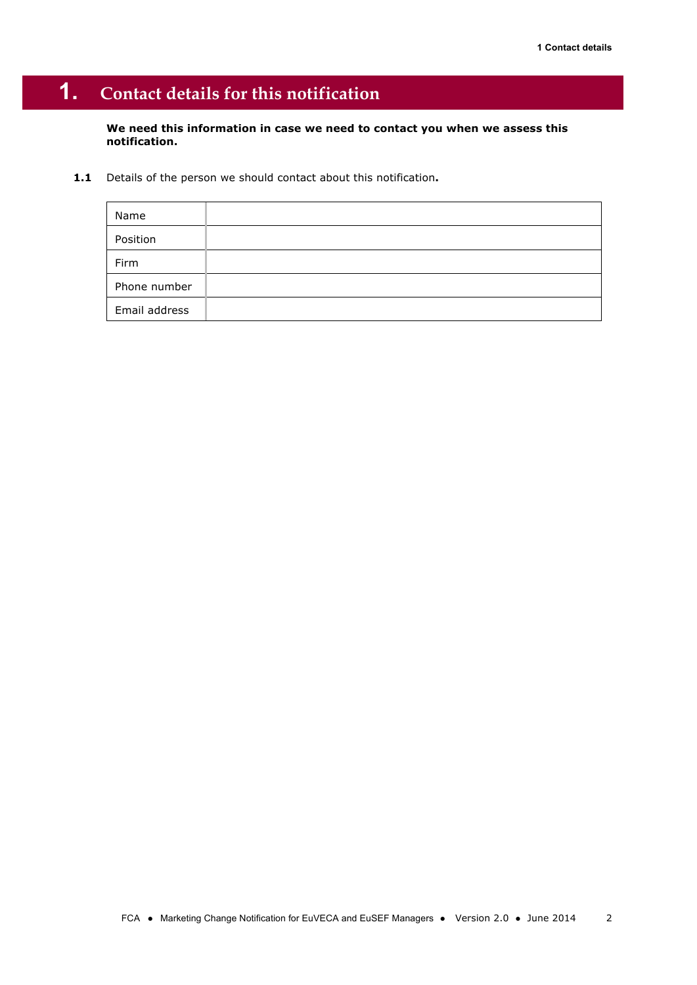# **1. Contact details for this notification**

**We need this information in case we need to contact you when we assess this notification.** 

**1.1** Details of the person we should contact about this notification**.** 

| Name          |  |
|---------------|--|
| Position      |  |
| Firm          |  |
| Phone number  |  |
| Email address |  |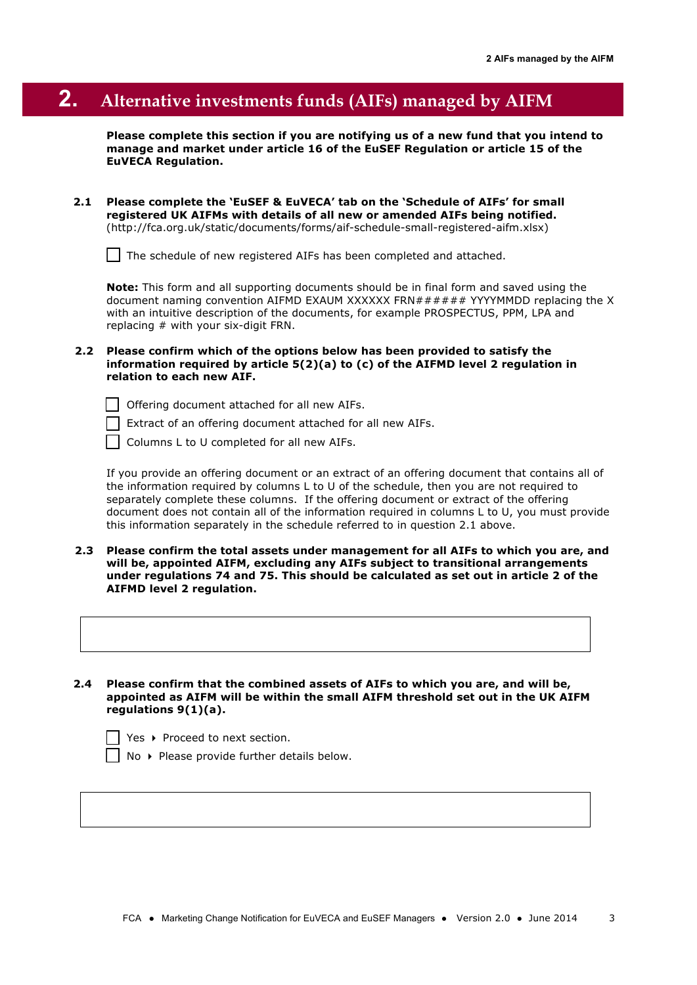## **2. Alternative investments funds (AIFs) managed by AIFM**

**Please complete this section if you are notifying us of a new fund that you intend to manage and market under article 16 of the EuSEF Regulation or article 15 of the EuVECA Regulation.**

**2.1 Please complete the 'EuSEF & EuVECA' tab on the 'Schedule of AIFs' for small registered UK AIFMs with details of all new or amended AIFs being notified.** (http://fca.org.uk/static/documents/forms/aif-schedule-small-registered-aifm.xlsx)

The schedule of new registered AIFs has been completed and attached.

**Note:** This form and all supporting documents should be in final form and saved using the document naming convention AIFMD EXAUM XXXXXX FRN##### YYYYMMDD replacing the X with an intuitive description of the documents, for example PROSPECTUS, PPM, LPA and replacing # with your six-digit FRN.

- **2.2 Please confirm which of the options below has been provided to satisfy the information required by article 5(2)(a) to (c) of the AIFMD level 2 regulation in relation to each new AIF.** 
	- $\Box$  Offering document attached for all new AIFs.
	- Extract of an offering document attached for all new AIFs.
	- Columns L to U completed for all new AIFs.

If you provide an offering document or an extract of an offering document that contains all of the information required by columns L to U of the schedule, then you are not required to separately complete these columns. If the offering document or extract of the offering document does not contain all of the information required in columns L to U, you must provide this information separately in the schedule referred to in question 2.1 above.

- **2.3 Please confirm the total assets under management for all AIFs to which you are, and will be, appointed AIFM, excluding any AIFs subject to transitional arrangements under regulations 74 and 75. This should be calculated as set out in article 2 of the AIFMD level 2 regulation.**
- **2.4 Please confirm that the combined assets of AIFs to which you are, and will be, appointed as AIFM will be within the small AIFM threshold set out in the UK AIFM regulations 9(1)(a).**

Yes  $\rightarrow$  Proceed to next section.

No ▶ Please provide further details below.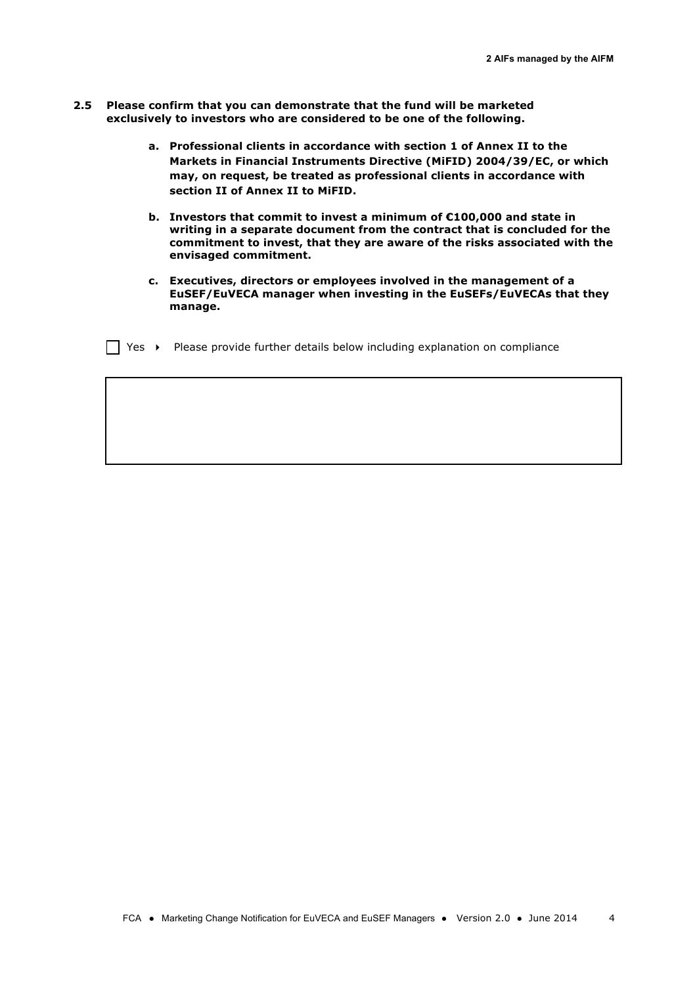- **2.5 Please confirm that you can demonstrate that the fund will be marketed exclusively to investors who are considered to be one of the following.**
	- **a. Professional clients in accordance with section 1 of Annex II to the Markets in Financial Instruments Directive (MiFID) 2004/39/EC, or which may, on request, be treated as professional clients in accordance with section II of Annex II to MiFID.**
	- **b. Investors that commit to invest a minimum of €100,000 and state in writing in a separate document from the contract that is concluded for the commitment to invest, that they are aware of the risks associated with the envisaged commitment.**
	- **c. Executives, directors or employees involved in the management of a EuSEF/EuVECA manager when investing in the EuSEFs/EuVECAs that they manage.**
	- $\Box$  Yes  $\rightarrow$  Please provide further details below including explanation on compliance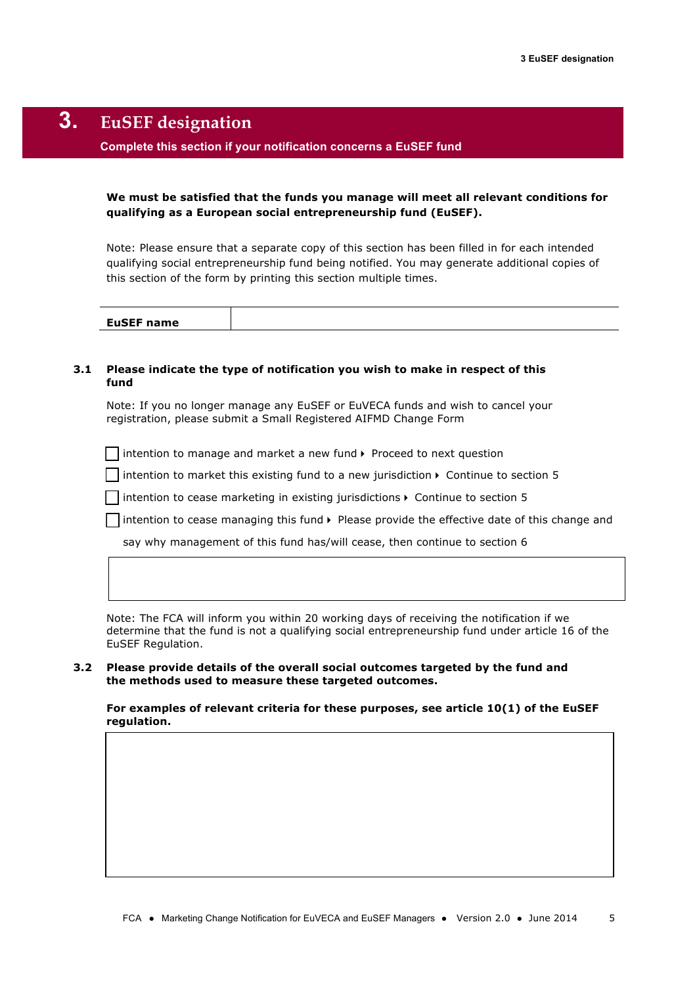## **3. EuSEF designation**

### **Complete this section if your notification concerns a EuSEF fund**

### **We must be satisfied that the funds you manage will meet all relevant conditions for qualifying as a European social entrepreneurship fund (EuSEF).**

Note: Please ensure that a separate copy of this section has been filled in for each intended qualifying social entrepreneurship fund being notified. You may generate additional copies of this section of the form by printing this section multiple times.

| <b>EuSEF name</b> |  |
|-------------------|--|
|                   |  |

### **3.1 Please indicate the type of notification you wish to make in respect of this fund**

Note: If you no longer manage any EuSEF or EuVECA funds and wish to cancel your registration, please submit a Small Registered AIFMD Change Form

 $\Box$  intention to manage and market a new fund  $\blacktriangleright$  Proceed to next question

intention to market this existing fund to a new jurisdiction  $\blacktriangleright$  Continue to section 5

 $\Box$  intention to cease marketing in existing jurisdictions  $\blacktriangleright$  Continue to section 5

 $\Box$  intention to cease managing this fund  $\blacktriangleright$  Please provide the effective date of this change and

say why management of this fund has/will cease, then continue to section 6

Note: The FCA will inform you within 20 working days of receiving the notification if we determine that the fund is not a qualifying social entrepreneurship fund under article 16 of the EuSEF Regulation.

#### **3.2 Please provide details of the overall social outcomes targeted by the fund and the methods used to measure these targeted outcomes.**

**For examples of relevant criteria for these purposes, see article 10(1) of the EuSEF regulation.**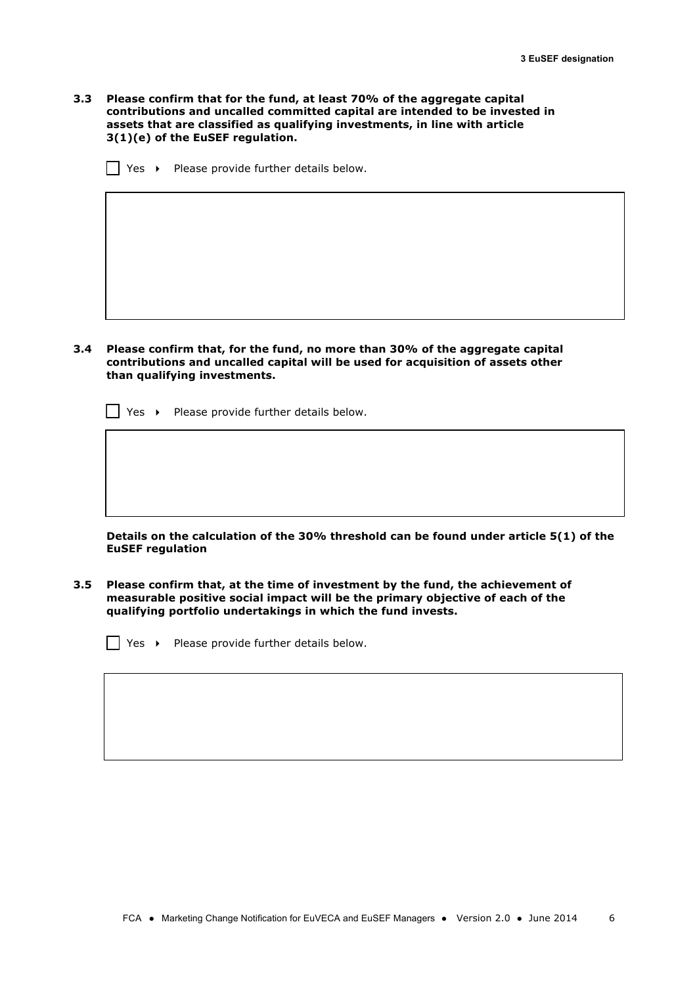**3.3 Please confirm that for the fund, at least 70% of the aggregate capital contributions and uncalled committed capital are intended to be invested in assets that are classified as qualifying investments, in line with article 3(1)(e) of the EuSEF regulation.**

 $\Box$  Yes  $\rightarrow$  Please provide further details below.

**3.4 Please confirm that, for the fund, no more than 30% of the aggregate capital contributions and uncalled capital will be used for acquisition of assets other than qualifying investments.** 

 $\Box$  Yes  $\rightarrow$  Please provide further details below.

**Details on the calculation of the 30% threshold can be found under article 5(1) of the EuSEF regulation**

**3.5 Please confirm that, at the time of investment by the fund, the achievement of measurable positive social impact will be the primary objective of each of the qualifying portfolio undertakings in which the fund invests.** 

 $\vert \vert$  Yes  $\rightarrow$  Please provide further details below.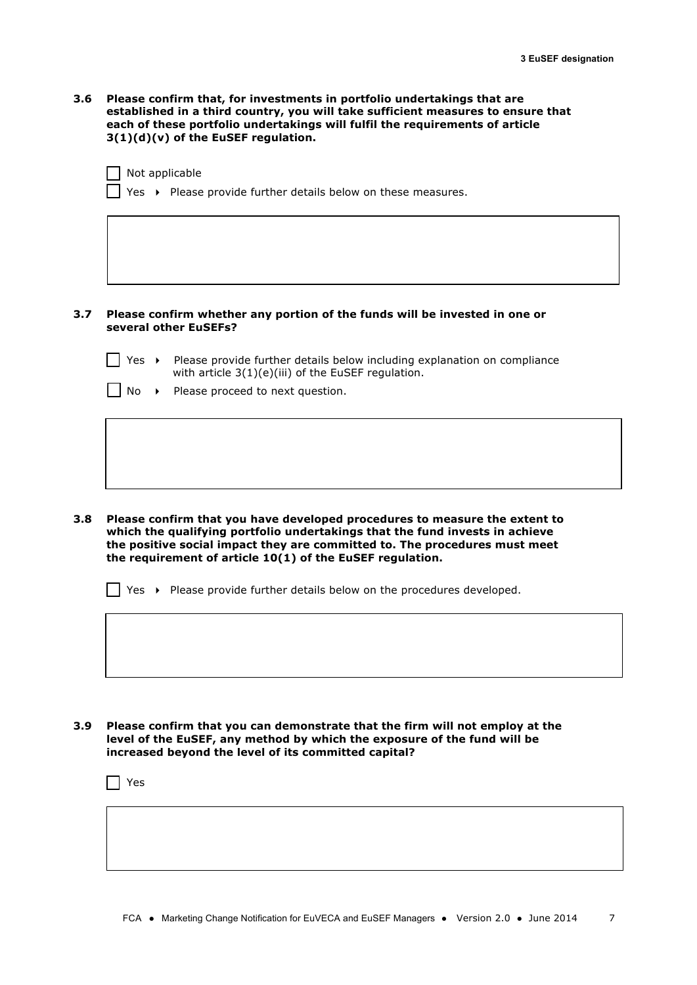**3.6 Please confirm that, for investments in portfolio undertakings that are established in a third country, you will take sufficient measures to ensure that each of these portfolio undertakings will fulfil the requirements of article 3(1)(d)(v) of the EuSEF regulation.**

 $\Box$  Not applicable

Yes  $\rightarrow$  Please provide further details below on these measures.

#### **3.7 Please confirm whether any portion of the funds will be invested in one or several other EuSEFs?**

- | | Yes > Please provide further details below including explanation on compliance with article 3(1)(e)(iii) of the EuSEF regulation.
	- No > Please proceed to next question.

**3.8 Please confirm that you have developed procedures to measure the extent to which the qualifying portfolio undertakings that the fund invests in achieve the positive social impact they are committed to. The procedures must meet the requirement of article 10(1) of the EuSEF regulation.**

 $\vert \vert$  Yes  $\rightarrow$  Please provide further details below on the procedures developed.

### **3.9 Please confirm that you can demonstrate that the firm will not employ at the level of the EuSEF, any method by which the exposure of the fund will be increased beyond the level of its committed capital?**

Yes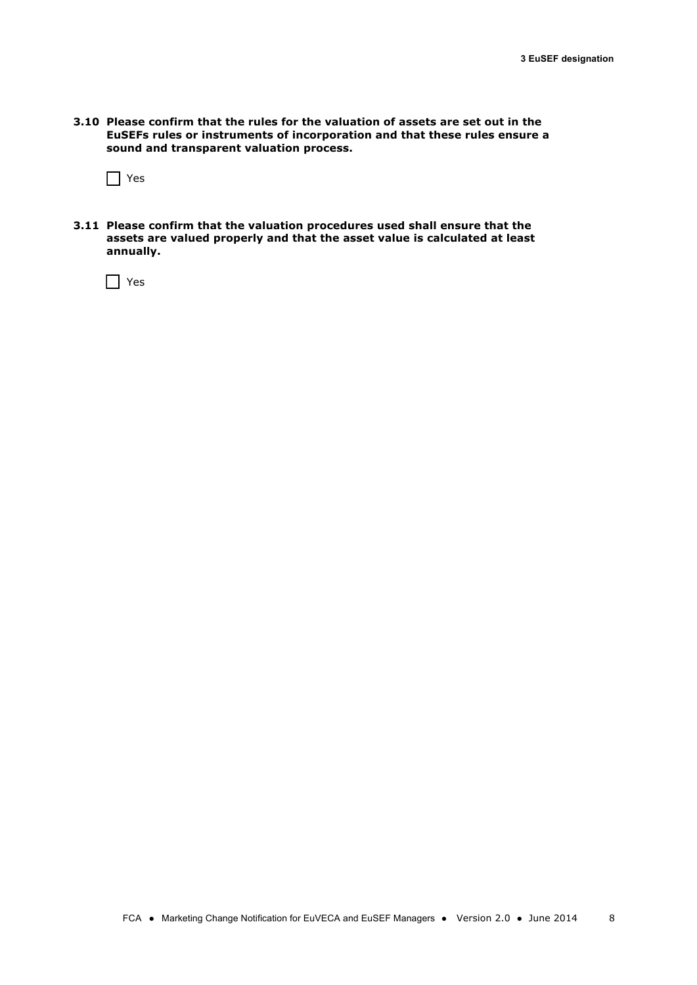**3.10 Please confirm that the rules for the valuation of assets are set out in the EuSEFs rules or instruments of incorporation and that these rules ensure a sound and transparent valuation process.**

 $\prod$  Yes

**3.11 Please confirm that the valuation procedures used shall ensure that the assets are valued properly and that the asset value is calculated at least annually.**

 $\prod$  Yes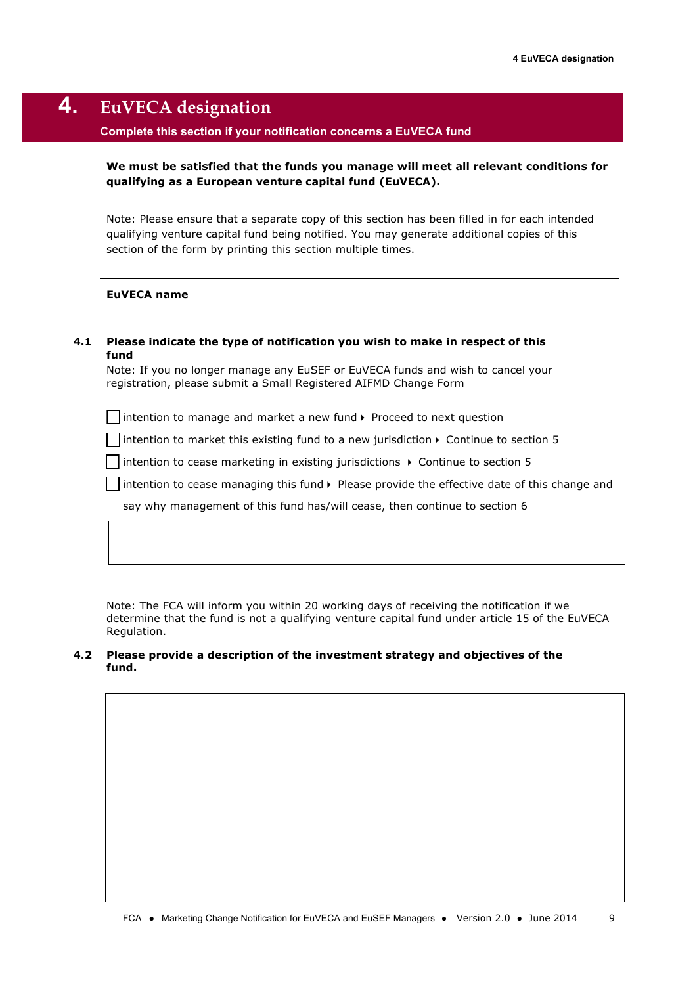## **4. EuVECA designation**

### **Complete this section if your notification concerns a EuVECA fund**

### **We must be satisfied that the funds you manage will meet all relevant conditions for qualifying as a European venture capital fund (EuVECA).**

Note: Please ensure that a separate copy of this section has been filled in for each intended qualifying venture capital fund being notified. You may generate additional copies of this section of the form by printing this section multiple times.

### **4.1 Please indicate the type of notification you wish to make in respect of this fund**

Note: If you no longer manage any EuSEF or EuVECA funds and wish to cancel your registration, please submit a Small Registered AIFMD Change Form

 $\Box$  intention to manage and market a new fund  $\blacktriangleright$  Proceed to next question

 $\Box$  intention to market this existing fund to a new jurisdiction  $\triangleright$  Continue to section 5

intention to cease marketing in existing jurisdictions  $\rightarrow$  Continue to section 5

 $\Box$  intention to cease managing this fund  $\blacktriangleright$  Please provide the effective date of this change and

say why management of this fund has/will cease, then continue to section 6

Note: The FCA will inform you within 20 working days of receiving the notification if we determine that the fund is not a qualifying venture capital fund under article 15 of the EuVECA Regulation.

### **4.2 Please provide a description of the investment strategy and objectives of the fund.**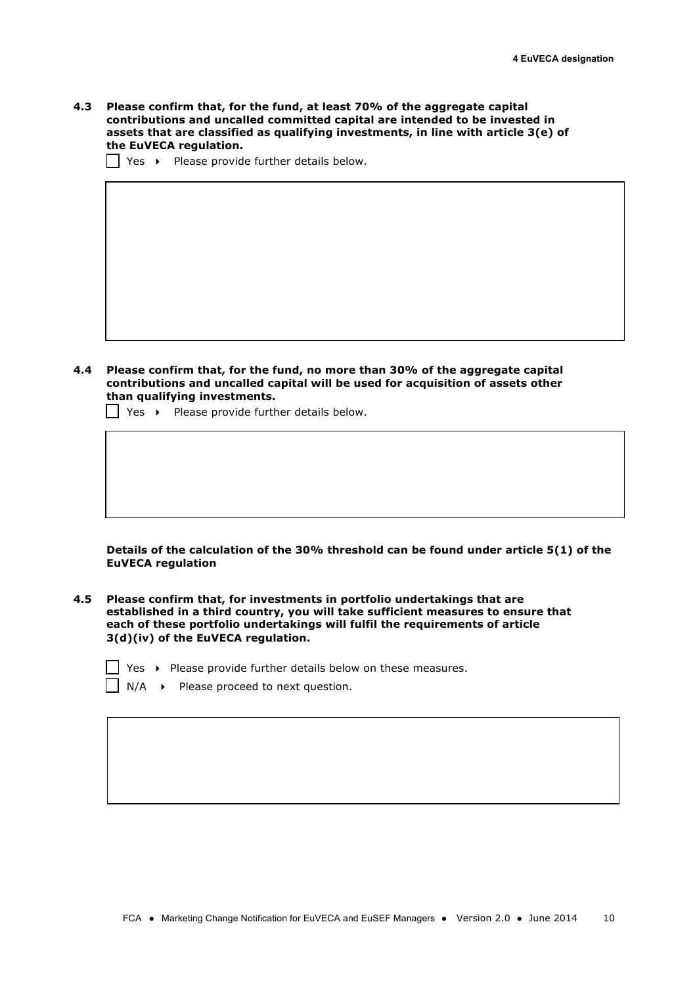**4.3 Please confirm that, for the fund, at least 70% of the aggregate capital contributions and uncalled committed capital are intended to be invested in assets that are classified as qualifying investments, in line with article 3(e) of the EuVECA regulation.**

 $\Box$  Yes  $\rightarrow$  Please provide further details below.

**4.4 Please confirm that, for the fund, no more than 30% of the aggregate capital contributions and uncalled capital will be used for acquisition of assets other than qualifying investments.** 

 $\bigcap$  Yes  $\rightarrow$  Please provide further details below.

**Details of the calculation of the 30% threshold can be found under article 5(1) of the EuVECA regulation**

**4.5 Please confirm that, for investments in portfolio undertakings that are established in a third country, you will take sufficient measures to ensure that each of these portfolio undertakings will fulfil the requirements of article 3(d)(iv) of the EuVECA regulation.**

| Yes ▶ Please provide further details below on these measures. |  |
|---------------------------------------------------------------|--|
|---------------------------------------------------------------|--|

 $\Box$  N/A  $\rightarrow$  Please proceed to next question.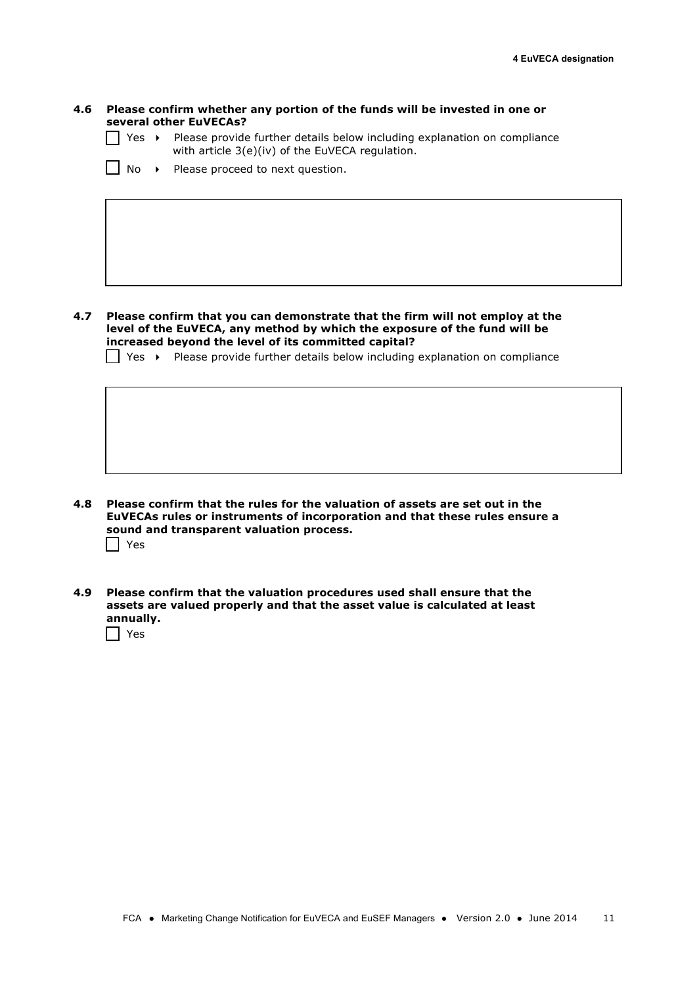### **4.6 Please confirm whether any portion of the funds will be invested in one or several other EuVECAs?**

- $\Box$  Yes  $\rightarrow$  Please provide further details below including explanation on compliance with article 3(e)(iv) of the EuVECA regulation.
- $\Box$  No  $\rightarrow$  Please proceed to next question.

**4.7 Please confirm that you can demonstrate that the firm will not employ at the level of the EuVECA, any method by which the exposure of the fund will be increased beyond the level of its committed capital?** 

 $\vert$  Yes  $\vert$  Please provide further details below including explanation on compliance

- **4.8 Please confirm that the rules for the valuation of assets are set out in the EuVECAs rules or instruments of incorporation and that these rules ensure a sound and transparent valuation process.** Yes
- **4.9 Please confirm that the valuation procedures used shall ensure that the assets are valued properly and that the asset value is calculated at least annually.**

 $\Box$  Yes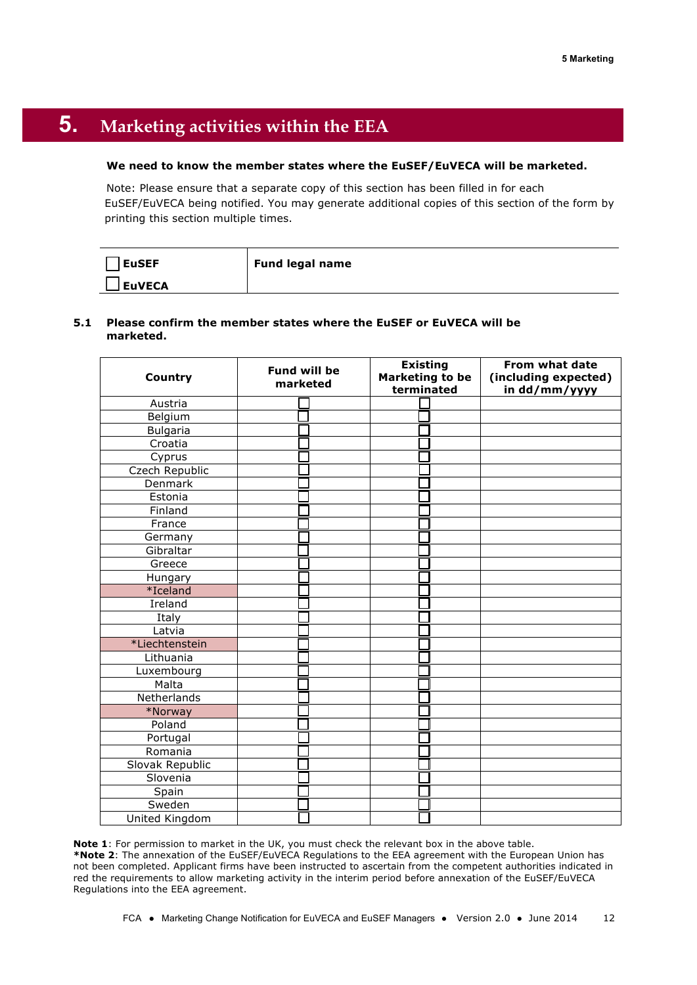# **5. Marketing activities within the EEA**

### **We need to know the member states where the EuSEF/EuVECA will be marketed.**

Note: Please ensure that a separate copy of this section has been filled in for each EuSEF/EuVECA being notified. You may generate additional copies of this section of the form by printing this section multiple times.

| EuSEF          | <b>Fund legal name</b> |
|----------------|------------------------|
| <b>JEuVECA</b> |                        |

### **5.1 Please confirm the member states where the EuSEF or EuVECA will be marketed.**

|                       | <b>Fund will be</b> | <b>Existing</b>        | From what date       |
|-----------------------|---------------------|------------------------|----------------------|
| Country               | marketed            | <b>Marketing to be</b> | (including expected) |
|                       |                     | terminated             | in dd/mm/yyyy        |
| Austria               |                     |                        |                      |
| Belgium               |                     |                        |                      |
| <b>Bulgaria</b>       |                     |                        |                      |
| Croatia               |                     |                        |                      |
| Cyprus                |                     |                        |                      |
| <b>Czech Republic</b> |                     |                        |                      |
| Denmark               |                     |                        |                      |
| Estonia               |                     |                        |                      |
| Finland               |                     |                        |                      |
| France                |                     |                        |                      |
| Germany               |                     |                        |                      |
| Gibraltar             |                     |                        |                      |
| Greece                |                     |                        |                      |
| Hungary               |                     |                        |                      |
| *Iceland              |                     |                        |                      |
| Ireland               |                     |                        |                      |
| Italy                 |                     |                        |                      |
| Latvia                |                     |                        |                      |
| *Liechtenstein        |                     |                        |                      |
| Lithuania             |                     |                        |                      |
| Luxembourg            |                     |                        |                      |
| Malta                 |                     |                        |                      |
| Netherlands           |                     |                        |                      |
| *Norway               |                     |                        |                      |
| Poland                |                     |                        |                      |
| Portugal              |                     |                        |                      |
| Romania               |                     |                        |                      |
| Slovak Republic       |                     |                        |                      |
| Slovenia              |                     |                        |                      |
| Spain                 |                     |                        |                      |
| Sweden                |                     |                        |                      |
| United Kingdom        |                     |                        |                      |

**Note 1**: For permission to market in the UK, you must check the relevant box in the above table. **\*Note 2**: The annexation of the EuSEF/EuVECA Regulations to the EEA agreement with the European Union has not been completed. Applicant firms have been instructed to ascertain from the competent authorities indicated in red the requirements to allow marketing activity in the interim period before annexation of the EuSEF/EuVECA Regulations into the EEA agreement.